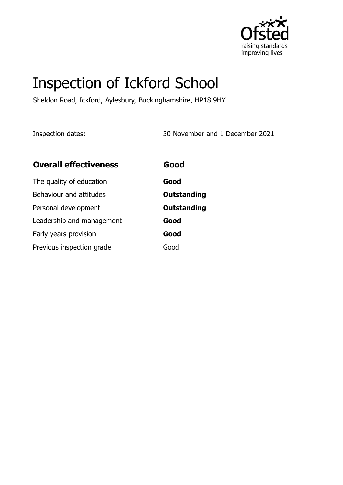

# Inspection of Ickford School

Sheldon Road, Ickford, Aylesbury, Buckinghamshire, HP18 9HY

Inspection dates: 30 November and 1 December 2021

| <b>Overall effectiveness</b> | Good               |
|------------------------------|--------------------|
| The quality of education     | Good               |
| Behaviour and attitudes      | <b>Outstanding</b> |
| Personal development         | <b>Outstanding</b> |
| Leadership and management    | Good               |
| Early years provision        | Good               |
| Previous inspection grade    | Good               |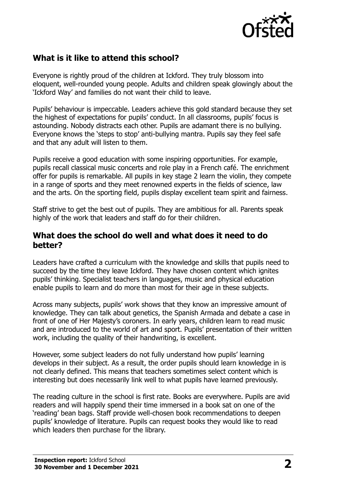

## **What is it like to attend this school?**

Everyone is rightly proud of the children at Ickford. They truly blossom into eloquent, well-rounded young people. Adults and children speak glowingly about the 'Ickford Way' and families do not want their child to leave.

Pupils' behaviour is impeccable. Leaders achieve this gold standard because they set the highest of expectations for pupils' conduct. In all classrooms, pupils' focus is astounding. Nobody distracts each other. Pupils are adamant there is no bullying. Everyone knows the 'steps to stop' anti-bullying mantra. Pupils say they feel safe and that any adult will listen to them.

Pupils receive a good education with some inspiring opportunities. For example, pupils recall classical music concerts and role play in a French café. The enrichment offer for pupils is remarkable. All pupils in key stage 2 learn the violin, they compete in a range of sports and they meet renowned experts in the fields of science, law and the arts. On the sporting field, pupils display excellent team spirit and fairness.

Staff strive to get the best out of pupils. They are ambitious for all. Parents speak highly of the work that leaders and staff do for their children.

#### **What does the school do well and what does it need to do better?**

Leaders have crafted a curriculum with the knowledge and skills that pupils need to succeed by the time they leave Ickford. They have chosen content which ignites pupils' thinking. Specialist teachers in languages, music and physical education enable pupils to learn and do more than most for their age in these subjects.

Across many subjects, pupils' work shows that they know an impressive amount of knowledge. They can talk about genetics, the Spanish Armada and debate a case in front of one of Her Majesty's coroners. In early years, children learn to read music and are introduced to the world of art and sport. Pupils' presentation of their written work, including the quality of their handwriting, is excellent.

However, some subject leaders do not fully understand how pupils' learning develops in their subject. As a result, the order pupils should learn knowledge in is not clearly defined. This means that teachers sometimes select content which is interesting but does necessarily link well to what pupils have learned previously.

The reading culture in the school is first rate. Books are everywhere. Pupils are avid readers and will happily spend their time immersed in a book sat on one of the 'reading' bean bags. Staff provide well-chosen book recommendations to deepen pupils' knowledge of literature. Pupils can request books they would like to read which leaders then purchase for the library.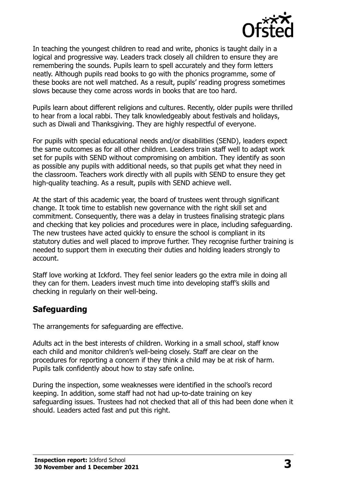

In teaching the youngest children to read and write, phonics is taught daily in a logical and progressive way. Leaders track closely all children to ensure they are remembering the sounds. Pupils learn to spell accurately and they form letters neatly. Although pupils read books to go with the phonics programme, some of these books are not well matched. As a result, pupils' reading progress sometimes slows because they come across words in books that are too hard.

Pupils learn about different religions and cultures. Recently, older pupils were thrilled to hear from a local rabbi. They talk knowledgeably about festivals and holidays, such as Diwali and Thanksgiving. They are highly respectful of everyone.

For pupils with special educational needs and/or disabilities (SEND), leaders expect the same outcomes as for all other children. Leaders train staff well to adapt work set for pupils with SEND without compromising on ambition. They identify as soon as possible any pupils with additional needs, so that pupils get what they need in the classroom. Teachers work directly with all pupils with SEND to ensure they get high-quality teaching. As a result, pupils with SEND achieve well.

At the start of this academic year, the board of trustees went through significant change. It took time to establish new governance with the right skill set and commitment. Consequently, there was a delay in trustees finalising strategic plans and checking that key policies and procedures were in place, including safeguarding. The new trustees have acted quickly to ensure the school is compliant in its statutory duties and well placed to improve further. They recognise further training is needed to support them in executing their duties and holding leaders strongly to account.

Staff love working at Ickford. They feel senior leaders go the extra mile in doing all they can for them. Leaders invest much time into developing staff's skills and checking in regularly on their well-being.

#### **Safeguarding**

The arrangements for safeguarding are effective.

Adults act in the best interests of children. Working in a small school, staff know each child and monitor children's well-being closely. Staff are clear on the procedures for reporting a concern if they think a child may be at risk of harm. Pupils talk confidently about how to stay safe online.

During the inspection, some weaknesses were identified in the school's record keeping. In addition, some staff had not had up-to-date training on key safeguarding issues. Trustees had not checked that all of this had been done when it should. Leaders acted fast and put this right.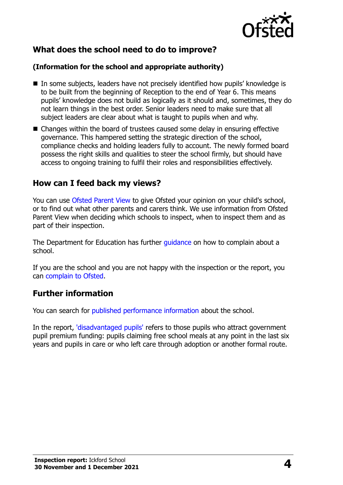

## **What does the school need to do to improve?**

#### **(Information for the school and appropriate authority)**

- In some subjects, leaders have not precisely identified how pupils' knowledge is to be built from the beginning of Reception to the end of Year 6. This means pupils' knowledge does not build as logically as it should and, sometimes, they do not learn things in the best order. Senior leaders need to make sure that all subject leaders are clear about what is taught to pupils when and why.
- Changes within the board of trustees caused some delay in ensuring effective governance. This hampered setting the strategic direction of the school, compliance checks and holding leaders fully to account. The newly formed board possess the right skills and qualities to steer the school firmly, but should have access to ongoing training to fulfil their roles and responsibilities effectively.

#### **How can I feed back my views?**

You can use [Ofsted Parent View](http://parentview.ofsted.gov.uk/) to give Ofsted your opinion on your child's school, or to find out what other parents and carers think. We use information from Ofsted Parent View when deciding which schools to inspect, when to inspect them and as part of their inspection.

The Department for Education has further quidance on how to complain about a school.

If you are the school and you are not happy with the inspection or the report, you can [complain to Ofsted.](http://www.gov.uk/complain-ofsted-report)

#### **Further information**

You can search for [published performance information](http://www.compare-school-performance.service.gov.uk/) about the school.

In the report, ['disadvantaged pupils'](http://www.gov.uk/guidance/pupil-premium-information-for-schools-and-alternative-provision-settings) refers to those pupils who attract government pupil premium funding: pupils claiming free school meals at any point in the last six years and pupils in care or who left care through adoption or another formal route.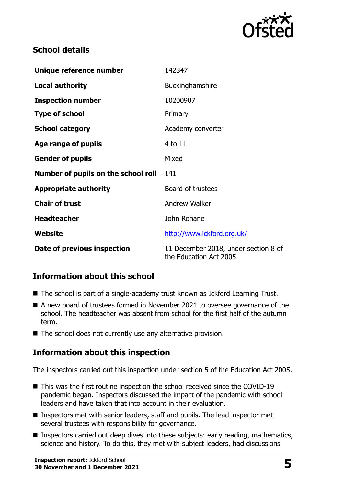

### **School details**

| Unique reference number             | 142847                                                         |
|-------------------------------------|----------------------------------------------------------------|
| <b>Local authority</b>              | Buckinghamshire                                                |
| <b>Inspection number</b>            | 10200907                                                       |
| <b>Type of school</b>               | Primary                                                        |
| <b>School category</b>              | Academy converter                                              |
| Age range of pupils                 | 4 to 11                                                        |
| <b>Gender of pupils</b>             | Mixed                                                          |
| Number of pupils on the school roll | 141                                                            |
| <b>Appropriate authority</b>        | Board of trustees                                              |
| <b>Chair of trust</b>               | <b>Andrew Walker</b>                                           |
| <b>Headteacher</b>                  | John Ronane                                                    |
| Website                             | http://www.ickford.org.uk/                                     |
| Date of previous inspection         | 11 December 2018, under section 8 of<br>the Education Act 2005 |

# **Information about this school**

- The school is part of a single-academy trust known as Ickford Learning Trust.
- A new board of trustees formed in November 2021 to oversee governance of the school. The headteacher was absent from school for the first half of the autumn term.
- The school does not currently use any alternative provision.

#### **Information about this inspection**

The inspectors carried out this inspection under section 5 of the Education Act 2005.

- This was the first routine inspection the school received since the COVID-19 pandemic began. Inspectors discussed the impact of the pandemic with school leaders and have taken that into account in their evaluation.
- Inspectors met with senior leaders, staff and pupils. The lead inspector met several trustees with responsibility for governance.
- Inspectors carried out deep dives into these subjects: early reading, mathematics, science and history. To do this, they met with subject leaders, had discussions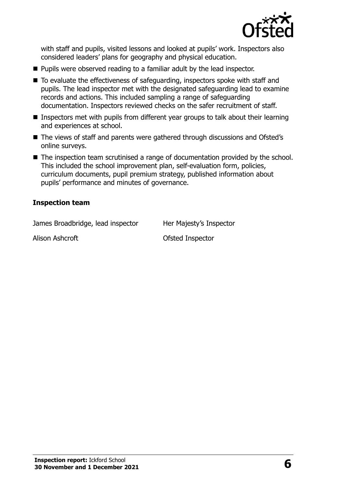

with staff and pupils, visited lessons and looked at pupils' work. Inspectors also considered leaders' plans for geography and physical education.

- Pupils were observed reading to a familiar adult by the lead inspector.
- To evaluate the effectiveness of safeguarding, inspectors spoke with staff and pupils. The lead inspector met with the designated safeguarding lead to examine records and actions. This included sampling a range of safeguarding documentation. Inspectors reviewed checks on the safer recruitment of staff.
- Inspectors met with pupils from different year groups to talk about their learning and experiences at school.
- The views of staff and parents were gathered through discussions and Ofsted's online surveys.
- The inspection team scrutinised a range of documentation provided by the school. This included the school improvement plan, self-evaluation form, policies, curriculum documents, pupil premium strategy, published information about pupils' performance and minutes of governance.

#### **Inspection team**

James Broadbridge, lead inspector Her Majesty's Inspector

Alison Ashcroft **Contract Contract Alison Ashcroft** Contract Ofsted Inspector